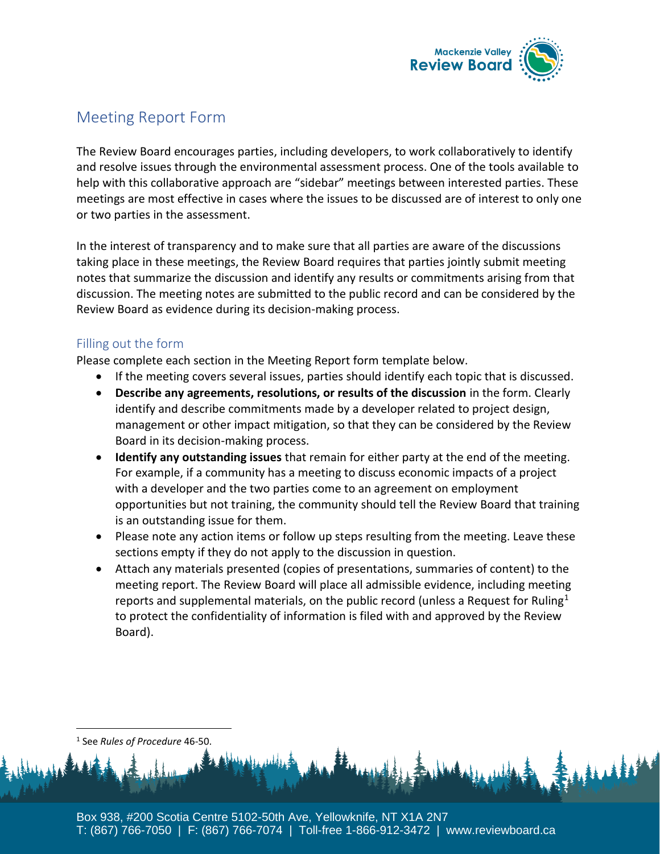

## Meeting Report Form

The Review Board encourages parties, including developers, to work collaboratively to identify and resolve issues through the environmental assessment process. One of the tools available to help with this collaborative approach are "sidebar" meetings between interested parties. These meetings are most effective in cases where the issues to be discussed are of interest to only one or two parties in the assessment.

In the interest of transparency and to make sure that all parties are aware of the discussions taking place in these meetings, the Review Board requires that parties jointly submit meeting notes that summarize the discussion and identify any results or commitments arising from that discussion. The meeting notes are submitted to the public record and can be considered by the Review Board as evidence during its decision-making process.

## Filling out the form

Please complete each section in the Meeting Report form template below.

- If the meeting covers several issues, parties should identify each topic that is discussed.
- **Describe any agreements, resolutions, or results of the discussion** in the form. Clearly identify and describe commitments made by a developer related to project design, management or other impact mitigation, so that they can be considered by the Review Board in its decision-making process.
- **Identify any outstanding issues** that remain for either party at the end of the meeting. For example, if a community has a meeting to discuss economic impacts of a project with a developer and the two parties come to an agreement on employment opportunities but not training, the community should tell the Review Board that training is an outstanding issue for them.
- Please note any action items or follow up steps resulting from the meeting. Leave these sections empty if they do not apply to the discussion in question.
- Attach any materials presented (copies of presentations, summaries of content) to the meeting report. The Review Board will place all admissible evidence, including meeting reports and supplemental materials, on the public record (unless a Request for Ruling<sup>1</sup> to protect the confidentiality of information is filed with and approved by the Review Board).

1 See *Rules of Procedure* 46-50.

Box 938, #200 Scotia Centre 5102-50th Ave, Yellowknife, NT X1A 2N7 T: (867) 766-7050 | F: (867) 766-7074 | Toll-free 1-866-912-3472 | www.reviewboard.ca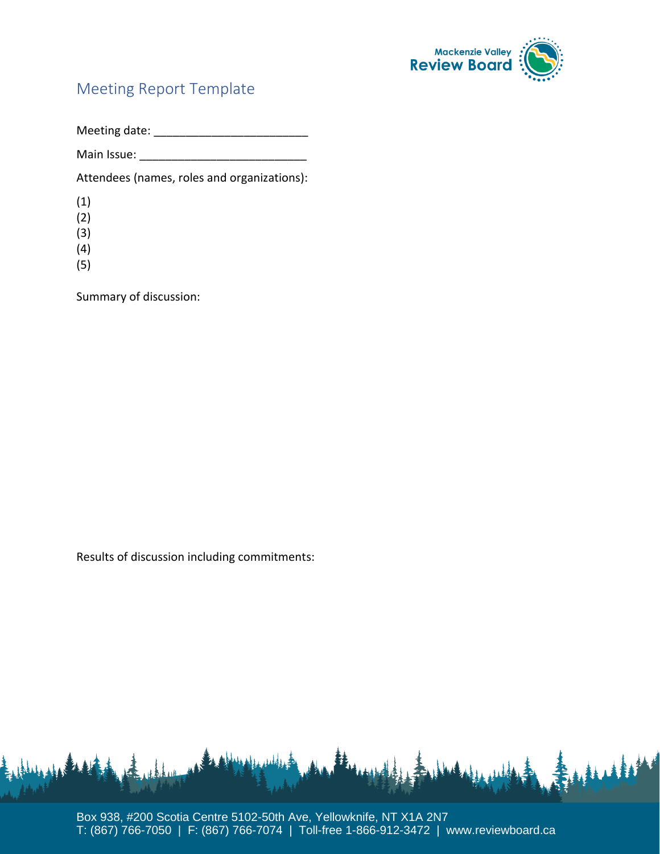

## Meeting Report Template

Meeting date: \_\_\_\_\_\_\_\_\_\_\_\_\_\_\_\_\_\_\_\_\_\_\_\_

Main Issue:

Attendees (names, roles and organizations):

(1)

(2)

(3)

- (4)
- (5)

Summary of discussion:

Results of discussion including commitments:



Box 938, #200 Scotia Centre 5102-50th Ave, Yellowknife, NT X1A 2N7 T: (867) 766-7050 | F: (867) 766-7074 | Toll-free 1-866-912-3472 | www.reviewboard.ca